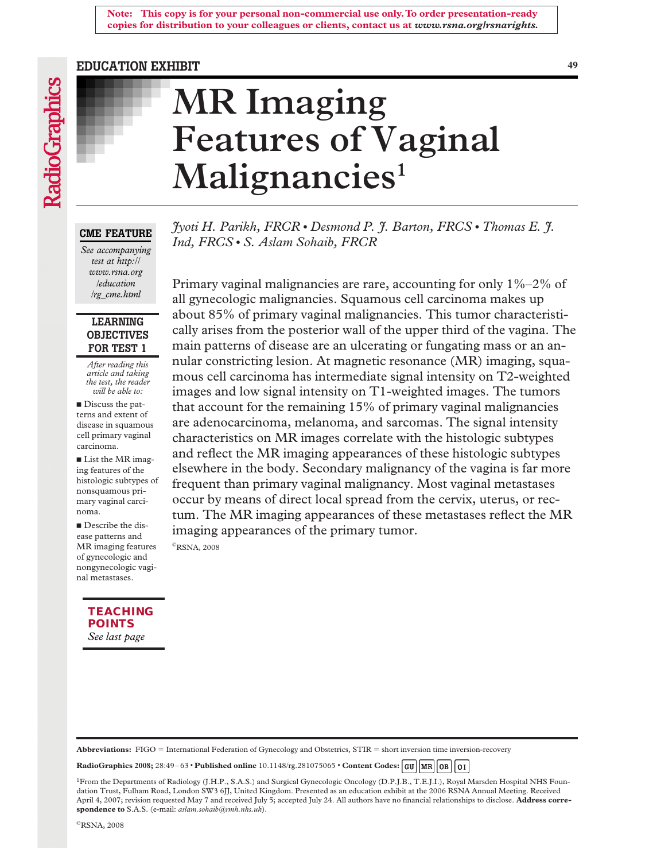#### **Note: This copy is for your personal non-commercial use only. To order presentation-ready copies for distribution to your colleagues or clients, contact us at** *www.rsna.org/rsnarights.*

#### **EDUCATION EXHIBIT 49**

# **MR Imaging Features of Vaginal** Malignancies<sup>1</sup>

**CME FEATURE**

*See accompanying test at http:// www.rsna.org /education /rg\_cme.html*

# **LEARNING OBJECTIVES FOR TEST 1**

*After reading this article and taking the test, the reader will be able to:*

Discuss the patterns and extent of disease in squamous cell primary vaginal carcinoma.

■ List the MR imaging features of the histologic subtypes of nonsquamous primary vaginal carcinoma.

Describe the disease patterns and MR imaging features of gynecologic and nongynecologic vaginal metastases.

> *See last page* **[TEACHING](#page-15-0)  POINTS**

*Jyoti H. Parikh, FRCR* ● *Desmond P. J. Barton, FRCS* ● *Thomas E. J. Ind, FRCS* ● *S. Aslam Sohaib, FRCR*

Primary vaginal malignancies are rare, accounting for only 1%–2% of all gynecologic malignancies. Squamous cell carcinoma makes up about 85% of primary vaginal malignancies. This tumor characteristically arises from the posterior wall of the upper third of the vagina. The main patterns of disease are an ulcerating or fungating mass or an annular constricting lesion. At magnetic resonance (MR) imaging, squamous cell carcinoma has intermediate signal intensity on T2-weighted images and low signal intensity on T1-weighted images. The tumors that account for the remaining 15% of primary vaginal malignancies are adenocarcinoma, melanoma, and sarcomas. The signal intensity characteristics on MR images correlate with the histologic subtypes and reflect the MR imaging appearances of these histologic subtypes elsewhere in the body. Secondary malignancy of the vagina is far more frequent than primary vaginal malignancy. Most vaginal metastases occur by means of direct local spread from the cervix, uterus, or rectum. The MR imaging appearances of these metastases reflect the MR imaging appearances of the primary tumor.

©RSNA, 2008

Abbreviations: FIGO = International Federation of Gynecology and Obstetrics, STIR = short inversion time inversion-recovery

**RadioGraphics 2008;** 28:49–63 ● **Published online** 10.1148/rg.281075065 ● **Content Codes:**

<sup>1</sup>From the Departments of Radiology (J.H.P., S.A.S.) and Surgical Gynecologic Oncology (D.P.J.B., T.E.J.I.), Royal Marsden Hospital NHS Foundation Trust, Fulham Road, London SW3 6JJ, United Kingdom. Presented as an education exhibit at the 2006 RSNA Annual Meeting. Received April 4, 2007; revision requested May 7 and received July 5; accepted July 24. All authors have no financial relationships to disclose. **Address correspondence to** S.A.S. (e-mail: *aslam.sohaib@rmh.nhs.uk*).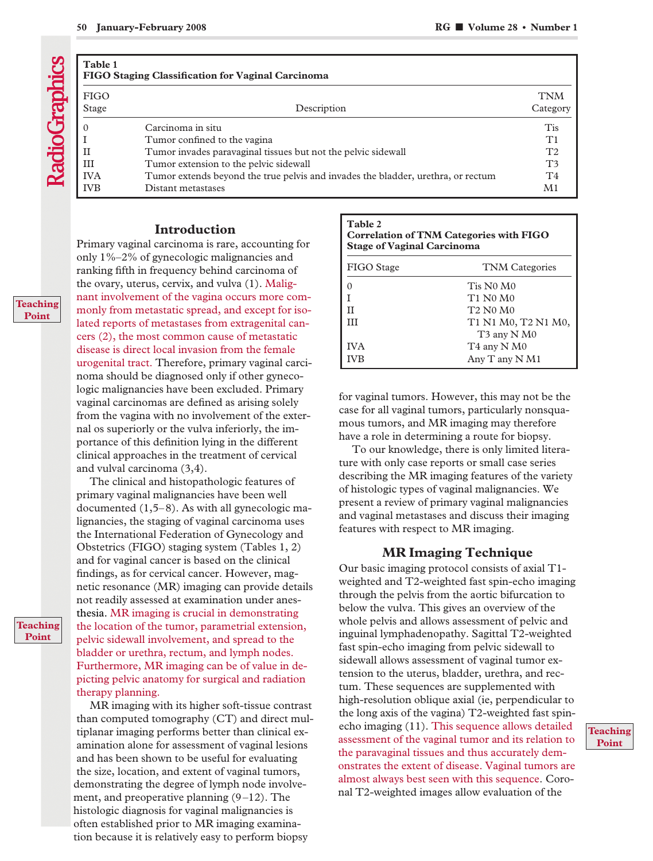| ٧ |  |
|---|--|

| Table 1<br>FIGO Staging Classification for Vaginal Carcinoma |                                                                                                                                                  |                                                    |  |
|--------------------------------------------------------------|--------------------------------------------------------------------------------------------------------------------------------------------------|----------------------------------------------------|--|
| <b>FIGO</b><br>Stage                                         | Description                                                                                                                                      | <b>TNM</b><br>Category                             |  |
| $\theta$<br>$_{\rm II}$                                      | Carcinoma in situ<br>Tumor confined to the vagina<br>Tumor invades paravaginal tissues but not the pelvic sidewall                               | Tis<br>T1<br>T <sub>2</sub>                        |  |
| III<br><b>IVA</b><br><b>IVB</b>                              | Tumor extension to the pelvic sidewall<br>Tumor extends beyond the true pelvis and invades the bladder, urethra, or rectum<br>Distant metastases | T <sub>3</sub><br>T <sub>4</sub><br>M <sub>1</sub> |  |

# **Introduction**

Primary vaginal carcinoma is rare, accounting for only 1%–2% of gynecologic malignancies and ranking fifth in frequency behind carcinoma of the ovary, uterus, cervix, and vulva (1). Malignant involvement of the vagina occurs more commonly from metastatic spread, and except for isolated reports of metastases from extragenital cancers (2), the most common cause of metastatic disease is direct local invasion from the female urogenital tract. Therefore, primary vaginal carcinoma should be diagnosed only if other gynecologic malignancies have been excluded. Primary vaginal carcinomas are defined as arising solely from the vagina with no involvement of the external os superiorly or the vulva inferiorly, the importance of this definition lying in the different clinical approaches in the treatment of cervical and vulval carcinoma (3,4).

The clinical and histopathologic features of primary vaginal malignancies have been well documented (1,5–8). As with all gynecologic malignancies, the staging of vaginal carcinoma uses the International Federation of Gynecology and Obstetrics (FIGO) staging system (Tables 1, 2) and for vaginal cancer is based on the clinical findings, as for cervical cancer. However, magnetic resonance (MR) imaging can provide details not readily assessed at examination under anesthesia. MR imaging is crucial in demonstrating the location of the tumor, parametrial extension, pelvic sidewall involvement, and spread to the bladder or urethra, rectum, and lymph nodes. Furthermore, MR imaging can be of value in depicting pelvic anatomy for surgical and radiation therapy planning.

MR imaging with its higher soft-tissue contrast than computed tomography (CT) and direct multiplanar imaging performs better than clinical examination alone for assessment of vaginal lesions and has been shown to be useful for evaluating the size, location, and extent of vaginal tumors, demonstrating the degree of lymph node involvement, and preoperative planning (9–12). The histologic diagnosis for vaginal malignancies is often established prior to MR imaging examination because it is relatively easy to perform biopsy

| Table 2                                        |
|------------------------------------------------|
| <b>Correlation of TNM Categories with FIGO</b> |
| <b>Stage of Vaginal Carcinoma</b>              |

| FIGO Stage | <b>TNM</b> Categories                        |
|------------|----------------------------------------------|
|            | Tis N0 M0                                    |
|            | T1 N0 M0                                     |
|            | T <sub>2</sub> N <sub>0</sub> M <sub>0</sub> |
| Ш          | T1 N1 M0, T2 N1 M0,                          |
|            | T <sub>3</sub> any N <sub>M0</sub>           |
| <b>IVA</b> | T <sub>4</sub> any N <sub>M0</sub>           |
| <b>IVB</b> | Any T any N M1                               |

for vaginal tumors. However, this may not be the case for all vaginal tumors, particularly nonsquamous tumors, and MR imaging may therefore have a role in determining a route for biopsy.

To our knowledge, there is only limited literature with only case reports or small case series describing the MR imaging features of the variety of histologic types of vaginal malignancies. We present a review of primary vaginal malignancies and vaginal metastases and discuss their imaging features with respect to MR imaging.

# **MR Imaging Technique**

Our basic imaging protocol consists of axial T1 weighted and T2-weighted fast spin-echo imaging through the pelvis from the aortic bifurcation to below the vulva. This gives an overview of the whole pelvis and allows assessment of pelvic and inguinal lymphadenopathy. Sagittal T2-weighted fast spin-echo imaging from pelvic sidewall to sidewall allows assessment of vaginal tumor extension to the uterus, bladder, urethra, and rectum. These sequences are supplemented with high-resolution oblique axial (ie, perpendicular to the long axis of the vagina) T2-weighted fast spinecho imaging (11). This sequence allows detailed assessment of the vaginal tumor and its relation to the paravaginal tissues and thus accurately demonstrates the extent of disease. Vaginal tumors are almost always best seen with this sequence. Coronal T2-weighted images allow evaluation of the

### **Teaching Point**

#### **Teaching Point**

#### **Teaching Point**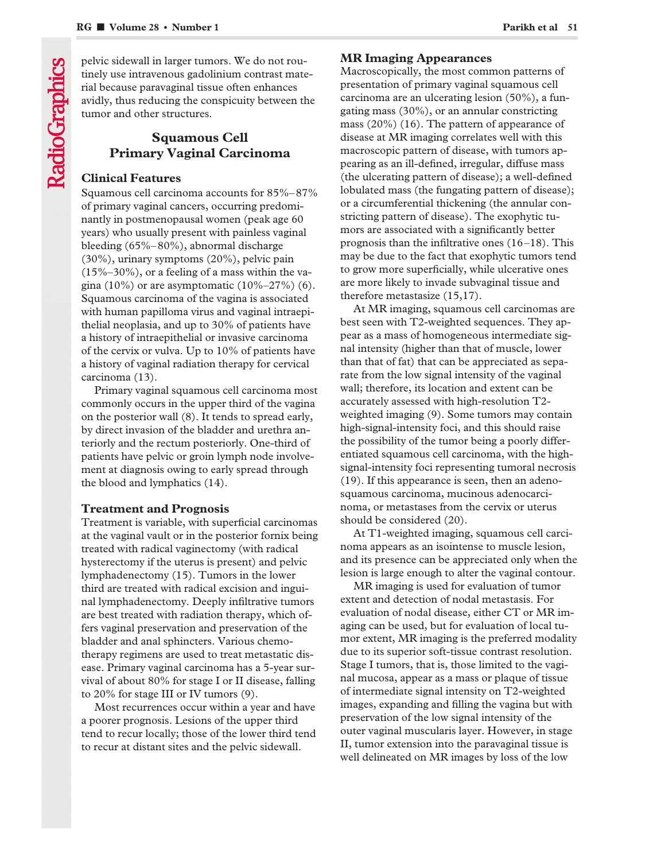pelvic sidewall in larger tumors. We do not routinely use intravenous gadolinium contrast material because paravaginal tissue often enhances avidly, thus reducing the conspicuity between the tumor and other structures.

# **Squamous Cell Primary Vaginal Carcinoma**

# **Clinical Features**

Squamous cell carcinoma accounts for 85%–87% of primary vaginal cancers, occurring predominantly in postmenopausal women (peak age 60 years) who usually present with painless vaginal bleeding (65%–80%), abnormal discharge (30%), urinary symptoms (20%), pelvic pain  $(15\% - 30\%)$ , or a feeling of a mass within the vagina (10%) or are asymptomatic  $(10\%-27\%)$  (6). Squamous carcinoma of the vagina is associated with human papilloma virus and vaginal intraepithelial neoplasia, and up to 30% of patients have a history of intraepithelial or invasive carcinoma of the cervix or vulva. Up to 10% of patients have a history of vaginal radiation therapy for cervical carcinoma (13).

Primary vaginal squamous cell carcinoma most commonly occurs in the upper third of the vagina on the posterior wall (8). It tends to spread early, by direct invasion of the bladder and urethra anteriorly and the rectum posteriorly. One-third of patients have pelvic or groin lymph node involvement at diagnosis owing to early spread through the blood and lymphatics (14).

# **Treatment and Prognosis**

Treatment is variable, with superficial carcinomas at the vaginal vault or in the posterior fornix being treated with radical vaginectomy (with radical hysterectomy if the uterus is present) and pelvic lymphadenectomy (15). Tumors in the lower third are treated with radical excision and inguinal lymphadenectomy. Deeply infiltrative tumors are best treated with radiation therapy, which offers vaginal preservation and preservation of the bladder and anal sphincters. Various chemotherapy regimens are used to treat metastatic disease. Primary vaginal carcinoma has a 5-year survival of about 80% for stage I or II disease, falling to 20% for stage III or IV tumors (9).

Most recurrences occur within a year and have a poorer prognosis. Lesions of the upper third tend to recur locally; those of the lower third tend to recur at distant sites and the pelvic sidewall.

# **MR Imaging Appearances**

Macroscopically, the most common patterns of presentation of primary vaginal squamous cell carcinoma are an ulcerating lesion (50%), a fungating mass (30%), or an annular constricting mass (20%) (16). The pattern of appearance of disease at MR imaging correlates well with this macroscopic pattern of disease, with tumors appearing as an ill-defined, irregular, diffuse mass (the ulcerating pattern of disease); a well-defined lobulated mass (the fungating pattern of disease); or a circumferential thickening (the annular constricting pattern of disease). The exophytic tumors are associated with a significantly better prognosis than the infiltrative ones (16–18). This may be due to the fact that exophytic tumors tend to grow more superficially, while ulcerative ones are more likely to invade subvaginal tissue and therefore metastasize (15,17).

At MR imaging, squamous cell carcinomas are best seen with T2-weighted sequences. They appear as a mass of homogeneous intermediate signal intensity (higher than that of muscle, lower than that of fat) that can be appreciated as separate from the low signal intensity of the vaginal wall; therefore, its location and extent can be accurately assessed with high-resolution T2 weighted imaging (9). Some tumors may contain high-signal-intensity foci, and this should raise the possibility of the tumor being a poorly differentiated squamous cell carcinoma, with the highsignal-intensity foci representing tumoral necrosis (19). If this appearance is seen, then an adenosquamous carcinoma, mucinous adenocarcinoma, or metastases from the cervix or uterus should be considered (20).

At T1-weighted imaging, squamous cell carcinoma appears as an isointense to muscle lesion, and its presence can be appreciated only when the lesion is large enough to alter the vaginal contour.

MR imaging is used for evaluation of tumor extent and detection of nodal metastasis. For evaluation of nodal disease, either CT or MR imaging can be used, but for evaluation of local tumor extent, MR imaging is the preferred modality due to its superior soft-tissue contrast resolution. Stage I tumors, that is, those limited to the vaginal mucosa, appear as a mass or plaque of tissue of intermediate signal intensity on T2-weighted images, expanding and filling the vagina but with preservation of the low signal intensity of the outer vaginal muscularis layer. However, in stage II, tumor extension into the paravaginal tissue is well delineated on MR images by loss of the low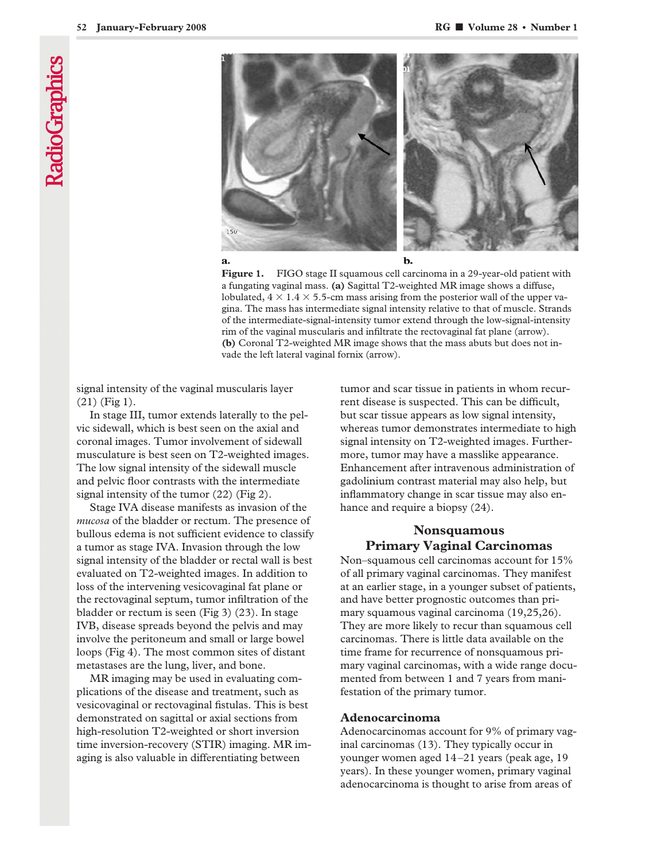

Figure 1. FIGO stage II squamous cell carcinoma in a 29-year-old patient with a fungating vaginal mass. **(a)** Sagittal T2-weighted MR image shows a diffuse, lobulated,  $4 \times 1.4 \times 5.5$ -cm mass arising from the posterior wall of the upper vagina. The mass has intermediate signal intensity relative to that of muscle. Strands of the intermediate-signal-intensity tumor extend through the low-signal-intensity rim of the vaginal muscularis and infiltrate the rectovaginal fat plane (arrow). **(b)** Coronal T2-weighted MR image shows that the mass abuts but does not invade the left lateral vaginal fornix (arrow).

signal intensity of the vaginal muscularis layer (21) (Fig 1).

In stage III, tumor extends laterally to the pelvic sidewall, which is best seen on the axial and coronal images. Tumor involvement of sidewall musculature is best seen on T2-weighted images. The low signal intensity of the sidewall muscle and pelvic floor contrasts with the intermediate signal intensity of the tumor (22) (Fig 2).

Stage IVA disease manifests as invasion of the *mucosa* of the bladder or rectum. The presence of bullous edema is not sufficient evidence to classify a tumor as stage IVA. Invasion through the low signal intensity of the bladder or rectal wall is best evaluated on T2-weighted images. In addition to loss of the intervening vesicovaginal fat plane or the rectovaginal septum, tumor infiltration of the bladder or rectum is seen (Fig 3) (23). In stage IVB, disease spreads beyond the pelvis and may involve the peritoneum and small or large bowel loops (Fig 4). The most common sites of distant metastases are the lung, liver, and bone.

MR imaging may be used in evaluating complications of the disease and treatment, such as vesicovaginal or rectovaginal fistulas. This is best demonstrated on sagittal or axial sections from high-resolution T2-weighted or short inversion time inversion-recovery (STIR) imaging. MR imaging is also valuable in differentiating between

tumor and scar tissue in patients in whom recurrent disease is suspected. This can be difficult, but scar tissue appears as low signal intensity, whereas tumor demonstrates intermediate to high signal intensity on T2-weighted images. Furthermore, tumor may have a masslike appearance. Enhancement after intravenous administration of gadolinium contrast material may also help, but inflammatory change in scar tissue may also enhance and require a biopsy (24).

# **Nonsquamous Primary Vaginal Carcinomas**

Non–squamous cell carcinomas account for 15% of all primary vaginal carcinomas. They manifest at an earlier stage, in a younger subset of patients, and have better prognostic outcomes than primary squamous vaginal carcinoma (19,25,26). They are more likely to recur than squamous cell carcinomas. There is little data available on the time frame for recurrence of nonsquamous primary vaginal carcinomas, with a wide range documented from between 1 and 7 years from manifestation of the primary tumor.

#### **Adenocarcinoma**

Adenocarcinomas account for 9% of primary vaginal carcinomas (13). They typically occur in younger women aged 14–21 years (peak age, 19 years). In these younger women, primary vaginal adenocarcinoma is thought to arise from areas of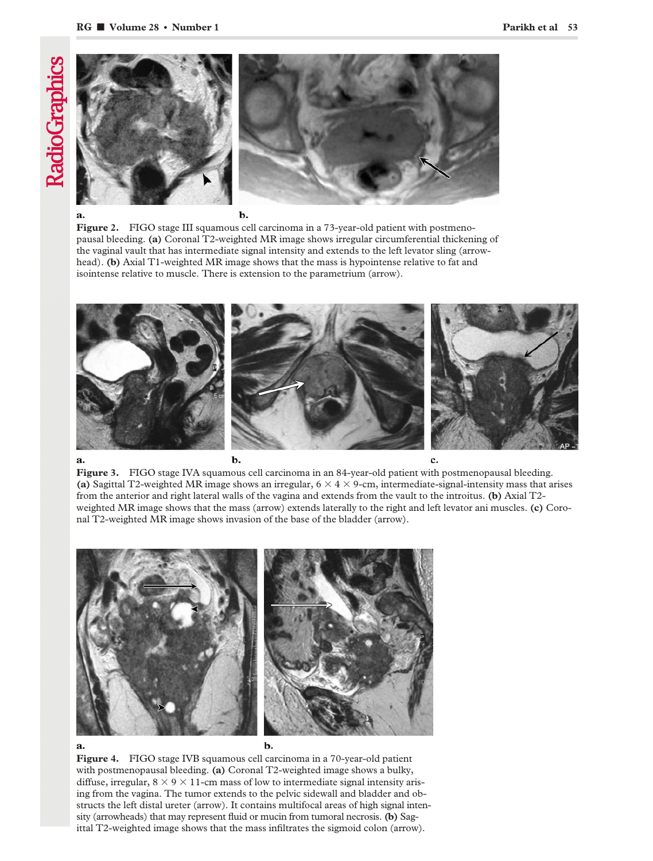

**Figure 2.** FIGO stage III squamous cell carcinoma in a 73-year-old patient with postmenopausal bleeding. **(a)** Coronal T2-weighted MR image shows irregular circumferential thickening of the vaginal vault that has intermediate signal intensity and extends to the left levator sling (arrowhead). **(b)** Axial T1-weighted MR image shows that the mass is hypointense relative to fat and isointense relative to muscle. There is extension to the parametrium (arrow).



Figure 3. FIGO stage IVA squamous cell carcinoma in an 84-year-old patient with postmenopausal bleeding. (a) Sagittal T2-weighted MR image shows an irregular,  $6 \times 4 \times 9$ -cm, intermediate-signal-intensity mass that arises from the anterior and right lateral walls of the vagina and extends from the vault to the introitus. **(b)** Axial T2 weighted MR image shows that the mass (arrow) extends laterally to the right and left levator ani muscles. **(c)** Coronal T2-weighted MR image shows invasion of the base of the bladder (arrow).



**Figure 4.** FIGO stage IVB squamous cell carcinoma in a 70-year-old patient with postmenopausal bleeding. **(a)** Coronal T2-weighted image shows a bulky, diffuse, irregular,  $8 \times 9 \times 11$ -cm mass of low to intermediate signal intensity arising from the vagina. The tumor extends to the pelvic sidewall and bladder and obstructs the left distal ureter (arrow). It contains multifocal areas of high signal intensity (arrowheads) that may represent fluid or mucin from tumoral necrosis. **(b)** Sagittal T2-weighted image shows that the mass infiltrates the sigmoid colon (arrow).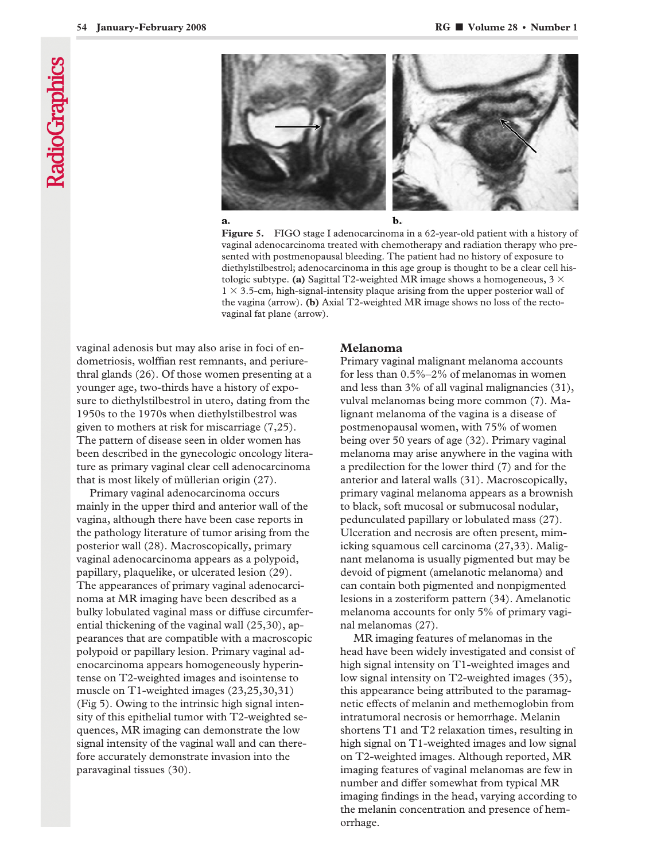



b.

**Figure 5.** FIGO stage I adenocarcinoma in a 62-year-old patient with a history of vaginal adenocarcinoma treated with chemotherapy and radiation therapy who presented with postmenopausal bleeding. The patient had no history of exposure to diethylstilbestrol; adenocarcinoma in this age group is thought to be a clear cell histologic subtype. (a) Sagittal T2-weighted MR image shows a homogeneous,  $3 \times$  $1 \times 3.5$ -cm, high-signal-intensity plaque arising from the upper posterior wall of the vagina (arrow). **(b)** Axial T2-weighted MR image shows no loss of the rectovaginal fat plane (arrow).

vaginal adenosis but may also arise in foci of endometriosis, wolffian rest remnants, and periurethral glands (26). Of those women presenting at a younger age, two-thirds have a history of exposure to diethylstilbestrol in utero, dating from the 1950s to the 1970s when diethylstilbestrol was given to mothers at risk for miscarriage (7,25). The pattern of disease seen in older women has been described in the gynecologic oncology literature as primary vaginal clear cell adenocarcinoma that is most likely of müllerian origin (27).

Primary vaginal adenocarcinoma occurs mainly in the upper third and anterior wall of the vagina, although there have been case reports in the pathology literature of tumor arising from the posterior wall (28). Macroscopically, primary vaginal adenocarcinoma appears as a polypoid, papillary, plaquelike, or ulcerated lesion (29). The appearances of primary vaginal adenocarcinoma at MR imaging have been described as a bulky lobulated vaginal mass or diffuse circumferential thickening of the vaginal wall (25,30), appearances that are compatible with a macroscopic polypoid or papillary lesion. Primary vaginal adenocarcinoma appears homogeneously hyperintense on T2-weighted images and isointense to muscle on T1-weighted images (23,25,30,31) (Fig 5). Owing to the intrinsic high signal intensity of this epithelial tumor with T2-weighted sequences, MR imaging can demonstrate the low signal intensity of the vaginal wall and can therefore accurately demonstrate invasion into the paravaginal tissues (30).

### **Melanoma**

Primary vaginal malignant melanoma accounts for less than 0.5%–2% of melanomas in women and less than 3% of all vaginal malignancies (31), vulval melanomas being more common (7). Malignant melanoma of the vagina is a disease of postmenopausal women, with 75% of women being over 50 years of age (32). Primary vaginal melanoma may arise anywhere in the vagina with a predilection for the lower third (7) and for the anterior and lateral walls (31). Macroscopically, primary vaginal melanoma appears as a brownish to black, soft mucosal or submucosal nodular, pedunculated papillary or lobulated mass (27). Ulceration and necrosis are often present, mimicking squamous cell carcinoma (27,33). Malignant melanoma is usually pigmented but may be devoid of pigment (amelanotic melanoma) and can contain both pigmented and nonpigmented lesions in a zosteriform pattern (34). Amelanotic melanoma accounts for only 5% of primary vaginal melanomas (27).

MR imaging features of melanomas in the head have been widely investigated and consist of high signal intensity on T1-weighted images and low signal intensity on T2-weighted images (35), this appearance being attributed to the paramagnetic effects of melanin and methemoglobin from intratumoral necrosis or hemorrhage. Melanin shortens T1 and T2 relaxation times, resulting in high signal on T1-weighted images and low signal on T2-weighted images. Although reported, MR imaging features of vaginal melanomas are few in number and differ somewhat from typical MR imaging findings in the head, varying according to the melanin concentration and presence of hemorrhage.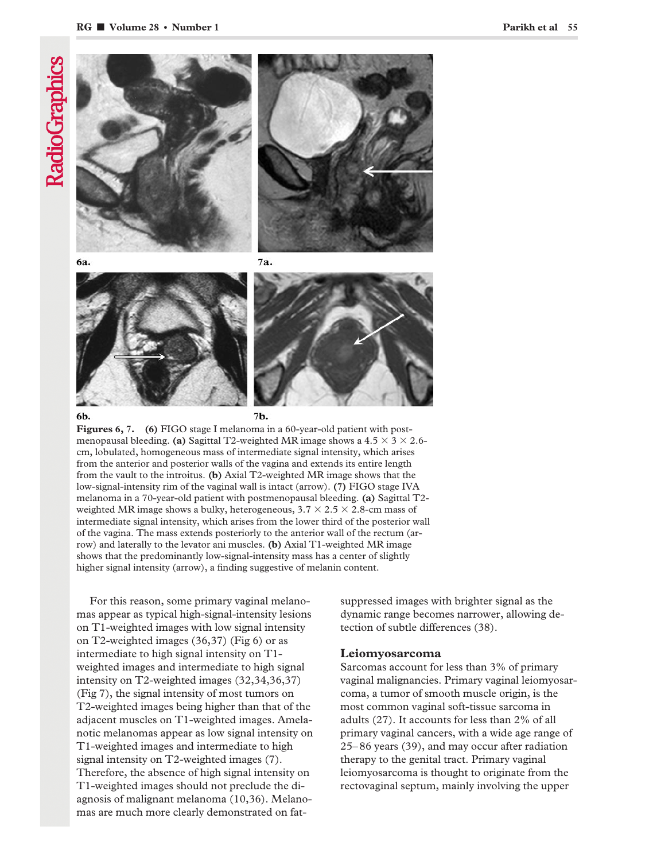# **RadioGraphics**



**Figures 6, 7. (6)** FIGO stage I melanoma in a 60-year-old patient with postmenopausal bleeding. **(a)** Sagittal T2-weighted MR image shows a 4.5  $\times$  3  $\times$  2.6cm, lobulated, homogeneous mass of intermediate signal intensity, which arises from the anterior and posterior walls of the vagina and extends its entire length from the vault to the introitus. **(b)** Axial T2-weighted MR image shows that the low-signal-intensity rim of the vaginal wall is intact (arrow). **(7)** FIGO stage IVA melanoma in a 70-year-old patient with postmenopausal bleeding. **(a)** Sagittal T2 weighted MR image shows a bulky, heterogeneous, 3.7  $\times$  2.5  $\times$  2.8-cm mass of intermediate signal intensity, which arises from the lower third of the posterior wall of the vagina. The mass extends posteriorly to the anterior wall of the rectum (arrow) and laterally to the levator ani muscles. **(b)** Axial T1-weighted MR image shows that the predominantly low-signal-intensity mass has a center of slightly higher signal intensity (arrow), a finding suggestive of melanin content.

For this reason, some primary vaginal melanomas appear as typical high-signal-intensity lesions on T1-weighted images with low signal intensity on T2-weighted images (36,37) (Fig 6) or as intermediate to high signal intensity on T1 weighted images and intermediate to high signal intensity on T2-weighted images (32,34,36,37) (Fig 7), the signal intensity of most tumors on T2-weighted images being higher than that of the adjacent muscles on T1-weighted images. Amelanotic melanomas appear as low signal intensity on T1-weighted images and intermediate to high signal intensity on T2-weighted images (7). Therefore, the absence of high signal intensity on T1-weighted images should not preclude the diagnosis of malignant melanoma (10,36). Melanomas are much more clearly demonstrated on fatsuppressed images with brighter signal as the dynamic range becomes narrower, allowing detection of subtle differences (38).

# **Leiomyosarcoma**

Sarcomas account for less than 3% of primary vaginal malignancies. Primary vaginal leiomyosarcoma, a tumor of smooth muscle origin, is the most common vaginal soft-tissue sarcoma in adults (27). It accounts for less than 2% of all primary vaginal cancers, with a wide age range of 25–86 years (39), and may occur after radiation therapy to the genital tract. Primary vaginal leiomyosarcoma is thought to originate from the rectovaginal septum, mainly involving the upper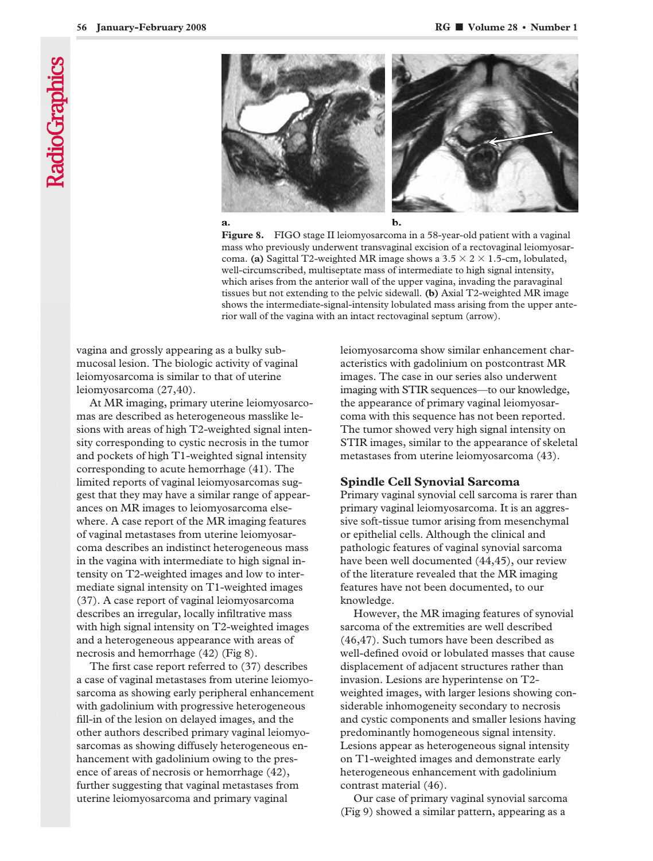



**Figure 8.** FIGO stage II leiomyosarcoma in a 58-year-old patient with a vaginal mass who previously underwent transvaginal excision of a rectovaginal leiomyosarcoma. (a) Sagittal T2-weighted MR image shows a  $3.5 \times 2 \times 1.5$ -cm, lobulated, well-circumscribed, multiseptate mass of intermediate to high signal intensity, which arises from the anterior wall of the upper vagina, invading the paravaginal tissues but not extending to the pelvic sidewall. **(b)** Axial T2-weighted MR image shows the intermediate-signal-intensity lobulated mass arising from the upper anterior wall of the vagina with an intact rectovaginal septum (arrow).

vagina and grossly appearing as a bulky submucosal lesion. The biologic activity of vaginal leiomyosarcoma is similar to that of uterine leiomyosarcoma (27,40).

At MR imaging, primary uterine leiomyosarcomas are described as heterogeneous masslike lesions with areas of high T2-weighted signal intensity corresponding to cystic necrosis in the tumor and pockets of high T1-weighted signal intensity corresponding to acute hemorrhage (41). The limited reports of vaginal leiomyosarcomas suggest that they may have a similar range of appearances on MR images to leiomyosarcoma elsewhere. A case report of the MR imaging features of vaginal metastases from uterine leiomyosarcoma describes an indistinct heterogeneous mass in the vagina with intermediate to high signal intensity on T2-weighted images and low to intermediate signal intensity on T1-weighted images (37). A case report of vaginal leiomyosarcoma describes an irregular, locally infiltrative mass with high signal intensity on T2-weighted images and a heterogeneous appearance with areas of necrosis and hemorrhage (42) (Fig 8).

The first case report referred to (37) describes a case of vaginal metastases from uterine leiomyosarcoma as showing early peripheral enhancement with gadolinium with progressive heterogeneous fill-in of the lesion on delayed images, and the other authors described primary vaginal leiomyosarcomas as showing diffusely heterogeneous enhancement with gadolinium owing to the presence of areas of necrosis or hemorrhage (42), further suggesting that vaginal metastases from uterine leiomyosarcoma and primary vaginal

leiomyosarcoma show similar enhancement characteristics with gadolinium on postcontrast MR images. The case in our series also underwent imaging with STIR sequences—to our knowledge, the appearance of primary vaginal leiomyosarcoma with this sequence has not been reported. The tumor showed very high signal intensity on STIR images, similar to the appearance of skeletal metastases from uterine leiomyosarcoma (43).

#### **Spindle Cell Synovial Sarcoma**

Primary vaginal synovial cell sarcoma is rarer than primary vaginal leiomyosarcoma. It is an aggressive soft-tissue tumor arising from mesenchymal or epithelial cells. Although the clinical and pathologic features of vaginal synovial sarcoma have been well documented (44,45), our review of the literature revealed that the MR imaging features have not been documented, to our knowledge.

However, the MR imaging features of synovial sarcoma of the extremities are well described (46,47). Such tumors have been described as well-defined ovoid or lobulated masses that cause displacement of adjacent structures rather than invasion. Lesions are hyperintense on T2 weighted images, with larger lesions showing considerable inhomogeneity secondary to necrosis and cystic components and smaller lesions having predominantly homogeneous signal intensity. Lesions appear as heterogeneous signal intensity on T1-weighted images and demonstrate early heterogeneous enhancement with gadolinium contrast material (46).

Our case of primary vaginal synovial sarcoma (Fig 9) showed a similar pattern, appearing as a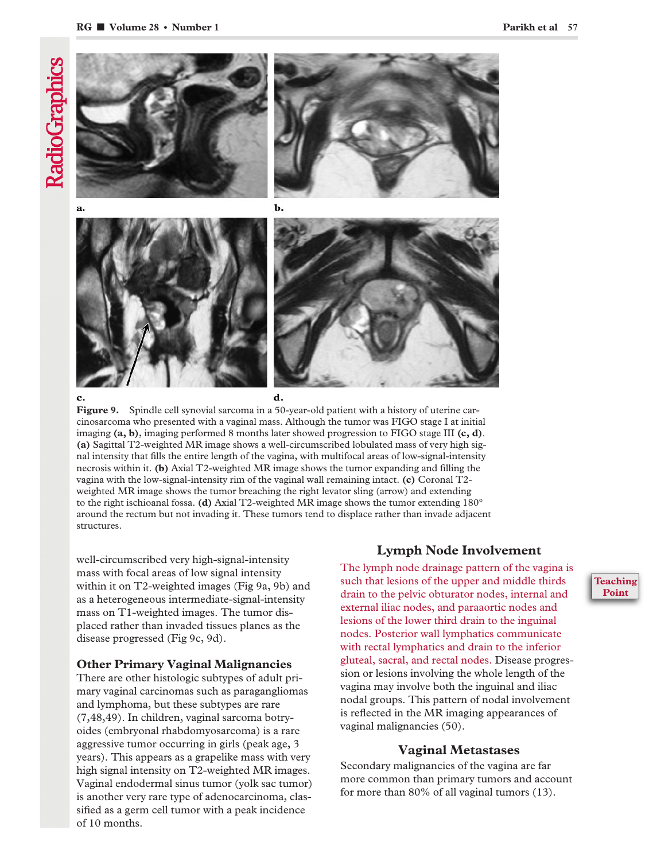

#### c.

d.

**Figure 9.** Spindle cell synovial sarcoma in a 50-year-old patient with a history of uterine carcinosarcoma who presented with a vaginal mass. Although the tumor was FIGO stage I at initial imaging **(a, b)**, imaging performed 8 months later showed progression to FIGO stage III **(c, d)**. **(a)** Sagittal T2-weighted MR image shows a well-circumscribed lobulated mass of very high signal intensity that fills the entire length of the vagina, with multifocal areas of low-signal-intensity necrosis within it. **(b)** Axial T2-weighted MR image shows the tumor expanding and filling the vagina with the low-signal-intensity rim of the vaginal wall remaining intact. **(c)** Coronal T2 weighted MR image shows the tumor breaching the right levator sling (arrow) and extending to the right ischioanal fossa. **(d)** Axial T2-weighted MR image shows the tumor extending 180° around the rectum but not invading it. These tumors tend to displace rather than invade adjacent structures.

well-circumscribed very high-signal-intensity mass with focal areas of low signal intensity within it on T2-weighted images (Fig 9a, 9b) and as a heterogeneous intermediate-signal-intensity mass on T1-weighted images. The tumor displaced rather than invaded tissues planes as the disease progressed (Fig 9c, 9d).

# **Other Primary Vaginal Malignancies**

There are other histologic subtypes of adult primary vaginal carcinomas such as paragangliomas and lymphoma, but these subtypes are rare (7,48,49). In children, vaginal sarcoma botryoides (embryonal rhabdomyosarcoma) is a rare aggressive tumor occurring in girls (peak age, 3 years). This appears as a grapelike mass with very high signal intensity on T2-weighted MR images. Vaginal endodermal sinus tumor (yolk sac tumor) is another very rare type of adenocarcinoma, classified as a germ cell tumor with a peak incidence of 10 months.

# **Lymph Node Involvement**

The lymph node drainage pattern of the vagina is such that lesions of the upper and middle thirds drain to the pelvic obturator nodes, internal and external iliac nodes, and paraaortic nodes and lesions of the lower third drain to the inguinal nodes. Posterior wall lymphatics communicate with rectal lymphatics and drain to the inferior gluteal, sacral, and rectal nodes. Disease progression or lesions involving the whole length of the vagina may involve both the inguinal and iliac nodal groups. This pattern of nodal involvement is reflected in the MR imaging appearances of vaginal malignancies (50).

# **Vaginal Metastases**

Secondary malignancies of the vagina are far more common than primary tumors and account for more than 80% of all vaginal tumors (13).

# **Teaching Point**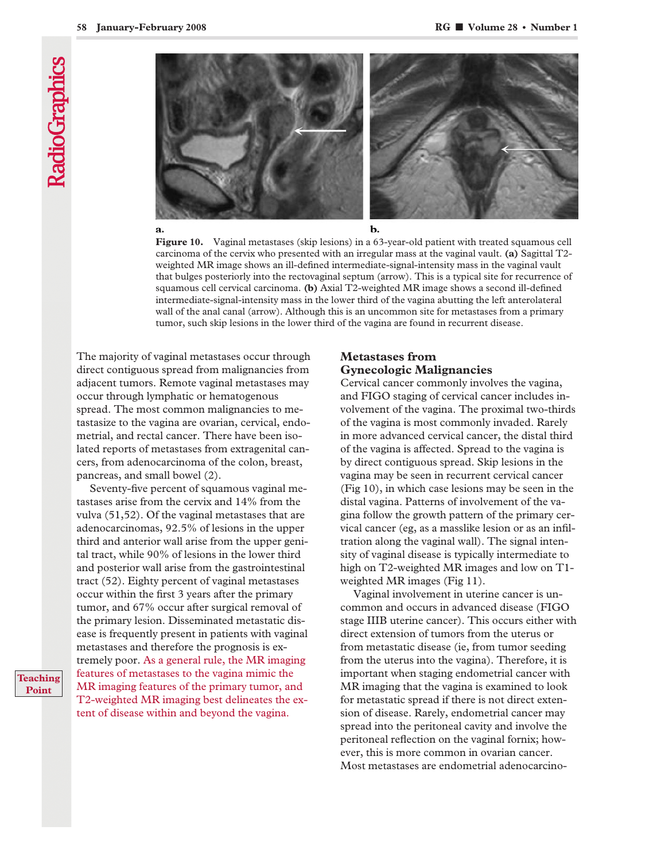**RadioGraphics** 



**Figure 10.** Vaginal metastases (skip lesions) in a 63-year-old patient with treated squamous cell carcinoma of the cervix who presented with an irregular mass at the vaginal vault. **(a)** Sagittal T2 weighted MR image shows an ill-defined intermediate-signal-intensity mass in the vaginal vault that bulges posteriorly into the rectovaginal septum (arrow). This is a typical site for recurrence of squamous cell cervical carcinoma. **(b)** Axial T2-weighted MR image shows a second ill-defined intermediate-signal-intensity mass in the lower third of the vagina abutting the left anterolateral wall of the anal canal (arrow). Although this is an uncommon site for metastases from a primary tumor, such skip lesions in the lower third of the vagina are found in recurrent disease.

The majority of vaginal metastases occur through direct contiguous spread from malignancies from adjacent tumors. Remote vaginal metastases may occur through lymphatic or hematogenous spread. The most common malignancies to metastasize to the vagina are ovarian, cervical, endometrial, and rectal cancer. There have been isolated reports of metastases from extragenital cancers, from adenocarcinoma of the colon, breast, pancreas, and small bowel (2).

Seventy-five percent of squamous vaginal metastases arise from the cervix and 14% from the vulva (51,52). Of the vaginal metastases that are adenocarcinomas, 92.5% of lesions in the upper third and anterior wall arise from the upper genital tract, while 90% of lesions in the lower third and posterior wall arise from the gastrointestinal tract (52). Eighty percent of vaginal metastases occur within the first 3 years after the primary tumor, and 67% occur after surgical removal of the primary lesion. Disseminated metastatic disease is frequently present in patients with vaginal metastases and therefore the prognosis is extremely poor. As a general rule, the MR imaging features of metastases to the vagina mimic the MR imaging features of the primary tumor, and T2-weighted MR imaging best delineates the extent of disease within and beyond the vagina.

# **Metastases from Gynecologic Malignancies**

Cervical cancer commonly involves the vagina, and FIGO staging of cervical cancer includes involvement of the vagina. The proximal two-thirds of the vagina is most commonly invaded. Rarely in more advanced cervical cancer, the distal third of the vagina is affected. Spread to the vagina is by direct contiguous spread. Skip lesions in the vagina may be seen in recurrent cervical cancer (Fig 10), in which case lesions may be seen in the distal vagina. Patterns of involvement of the vagina follow the growth pattern of the primary cervical cancer (eg, as a masslike lesion or as an infiltration along the vaginal wall). The signal intensity of vaginal disease is typically intermediate to high on T2-weighted MR images and low on T1 weighted MR images (Fig 11).

Vaginal involvement in uterine cancer is uncommon and occurs in advanced disease (FIGO stage IIIB uterine cancer). This occurs either with direct extension of tumors from the uterus or from metastatic disease (ie, from tumor seeding from the uterus into the vagina). Therefore, it is important when staging endometrial cancer with MR imaging that the vagina is examined to look for metastatic spread if there is not direct extension of disease. Rarely, endometrial cancer may spread into the peritoneal cavity and involve the peritoneal reflection on the vaginal fornix; however, this is more common in ovarian cancer. Most metastases are endometrial adenocarcino-

**Teaching Point**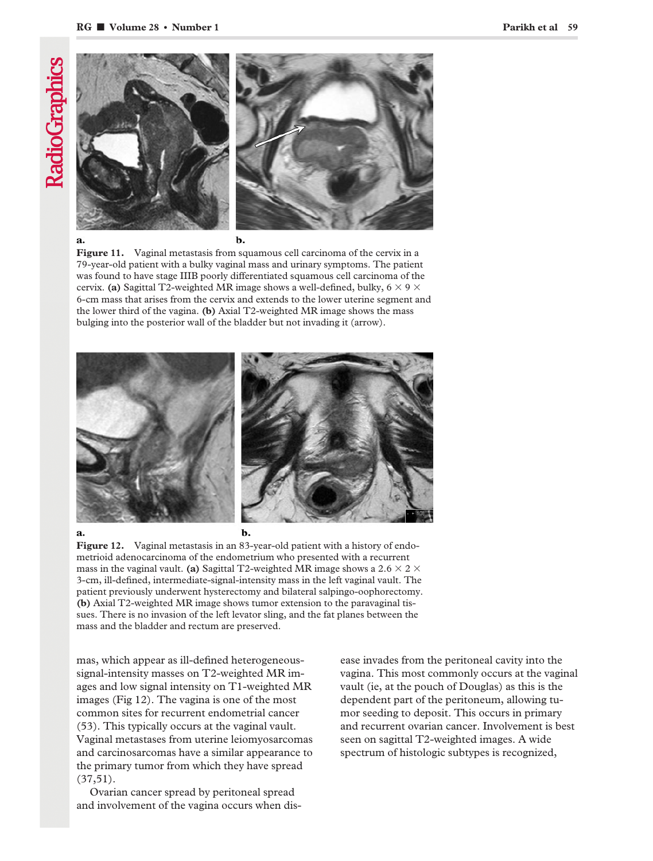

Figure 11. Vaginal metastasis from squamous cell carcinoma of the cervix in a 79-year-old patient with a bulky vaginal mass and urinary symptoms. The patient was found to have stage IIIB poorly differentiated squamous cell carcinoma of the cervix. (a) Sagittal T2-weighted MR image shows a well-defined, bulky,  $6 \times 9 \times$ 6-cm mass that arises from the cervix and extends to the lower uterine segment and the lower third of the vagina. **(b)** Axial T2-weighted MR image shows the mass bulging into the posterior wall of the bladder but not invading it (arrow).



**Figure 12.** Vaginal metastasis in an 83-year-old patient with a history of endometrioid adenocarcinoma of the endometrium who presented with a recurrent mass in the vaginal vault. **(a)** Sagittal T2-weighted MR image shows a 2.6  $\times$  2  $\times$ 3-cm, ill-defined, intermediate-signal-intensity mass in the left vaginal vault. The patient previously underwent hysterectomy and bilateral salpingo-oophorectomy. **(b)** Axial T2-weighted MR image shows tumor extension to the paravaginal tissues. There is no invasion of the left levator sling, and the fat planes between the mass and the bladder and rectum are preserved.

mas, which appear as ill-defined heterogeneoussignal-intensity masses on T2-weighted MR images and low signal intensity on T1-weighted MR images (Fig 12). The vagina is one of the most common sites for recurrent endometrial cancer (53). This typically occurs at the vaginal vault. Vaginal metastases from uterine leiomyosarcomas and carcinosarcomas have a similar appearance to the primary tumor from which they have spread (37,51).

Ovarian cancer spread by peritoneal spread and involvement of the vagina occurs when disease invades from the peritoneal cavity into the vagina. This most commonly occurs at the vaginal vault (ie, at the pouch of Douglas) as this is the dependent part of the peritoneum, allowing tumor seeding to deposit. This occurs in primary and recurrent ovarian cancer. Involvement is best seen on sagittal T2-weighted images. A wide spectrum of histologic subtypes is recognized,

**RadioGraphics**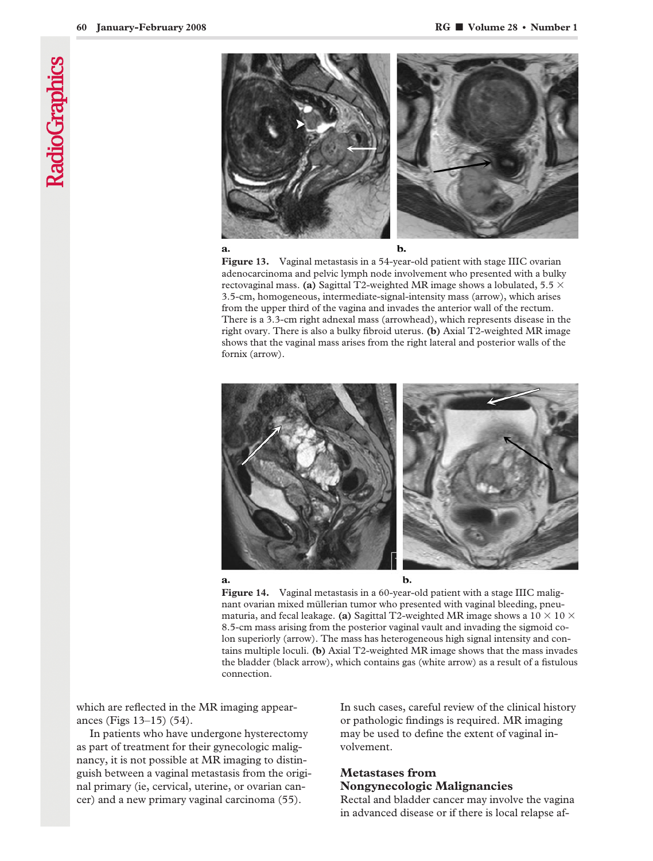

**Figure 13.** Vaginal metastasis in a 54-year-old patient with stage IIIC ovarian adenocarcinoma and pelvic lymph node involvement who presented with a bulky rectovaginal mass. **(a)** Sagittal T2-weighted MR image shows a lobulated, 5.5  $\times$ 3.5-cm, homogeneous, intermediate-signal-intensity mass (arrow), which arises from the upper third of the vagina and invades the anterior wall of the rectum. There is a 3.3-cm right adnexal mass (arrowhead), which represents disease in the right ovary. There is also a bulky fibroid uterus. **(b)** Axial T2-weighted MR image shows that the vaginal mass arises from the right lateral and posterior walls of the fornix (arrow).





 $$ 

**Figure 14.** Vaginal metastasis in a 60-year-old patient with a stage IIIC malignant ovarian mixed müllerian tumor who presented with vaginal bleeding, pneumaturia, and fecal leakage. **(a)** Sagittal T2-weighted MR image shows a 10  $\times$  10  $\times$ 8.5-cm mass arising from the posterior vaginal vault and invading the sigmoid colon superiorly (arrow). The mass has heterogeneous high signal intensity and contains multiple loculi. **(b)** Axial T2-weighted MR image shows that the mass invades the bladder (black arrow), which contains gas (white arrow) as a result of a fistulous connection.

which are reflected in the MR imaging appearances (Figs 13–15) (54).

In patients who have undergone hysterectomy as part of treatment for their gynecologic malignancy, it is not possible at MR imaging to distinguish between a vaginal metastasis from the original primary (ie, cervical, uterine, or ovarian cancer) and a new primary vaginal carcinoma (55).

In such cases, careful review of the clinical history or pathologic findings is required. MR imaging may be used to define the extent of vaginal involvement.

# **Metastases from Nongynecologic Malignancies**

Rectal and bladder cancer may involve the vagina in advanced disease or if there is local relapse af-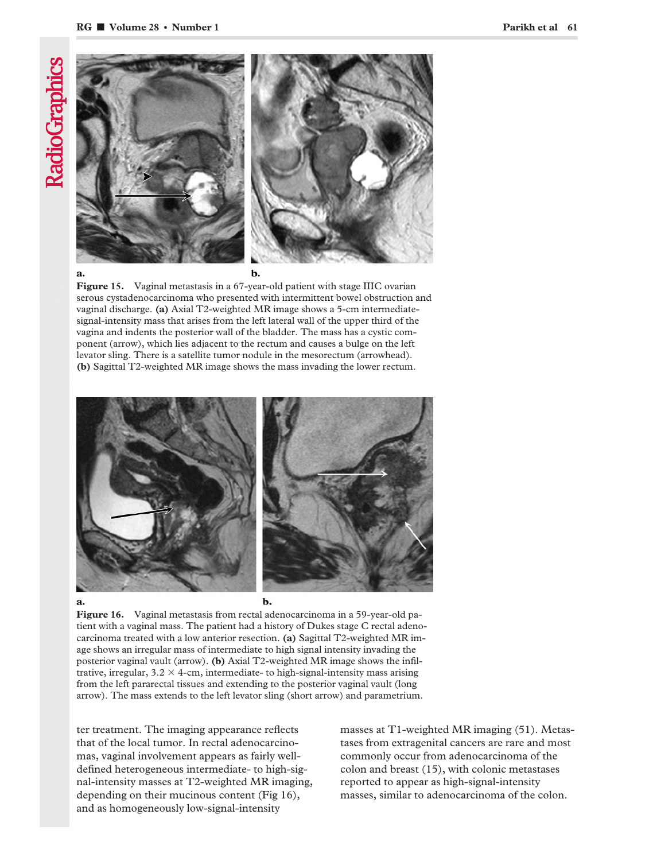

#### a.

b.

**Figure 15.** Vaginal metastasis in a 67-year-old patient with stage IIIC ovarian serous cystadenocarcinoma who presented with intermittent bowel obstruction and vaginal discharge. **(a)** Axial T2-weighted MR image shows a 5-cm intermediatesignal-intensity mass that arises from the left lateral wall of the upper third of the vagina and indents the posterior wall of the bladder. The mass has a cystic component (arrow), which lies adjacent to the rectum and causes a bulge on the left levator sling. There is a satellite tumor nodule in the mesorectum (arrowhead). **(b)** Sagittal T2-weighted MR image shows the mass invading the lower rectum.



**Figure 16.** Vaginal metastasis from rectal adenocarcinoma in a 59-year-old patient with a vaginal mass. The patient had a history of Dukes stage C rectal adenocarcinoma treated with a low anterior resection. **(a)** Sagittal T2-weighted MR image shows an irregular mass of intermediate to high signal intensity invading the posterior vaginal vault (arrow). **(b)** Axial T2-weighted MR image shows the infiltrative, irregular,  $3.2 \times 4$ -cm, intermediate- to high-signal-intensity mass arising from the left pararectal tissues and extending to the posterior vaginal vault (long arrow). The mass extends to the left levator sling (short arrow) and parametrium.

ter treatment. The imaging appearance reflects that of the local tumor. In rectal adenocarcinomas, vaginal involvement appears as fairly welldefined heterogeneous intermediate- to high-signal-intensity masses at T2-weighted MR imaging, depending on their mucinous content (Fig 16), and as homogeneously low-signal-intensity

masses at T1-weighted MR imaging (51). Metastases from extragenital cancers are rare and most commonly occur from adenocarcinoma of the colon and breast (15), with colonic metastases reported to appear as high-signal-intensity masses, similar to adenocarcinoma of the colon.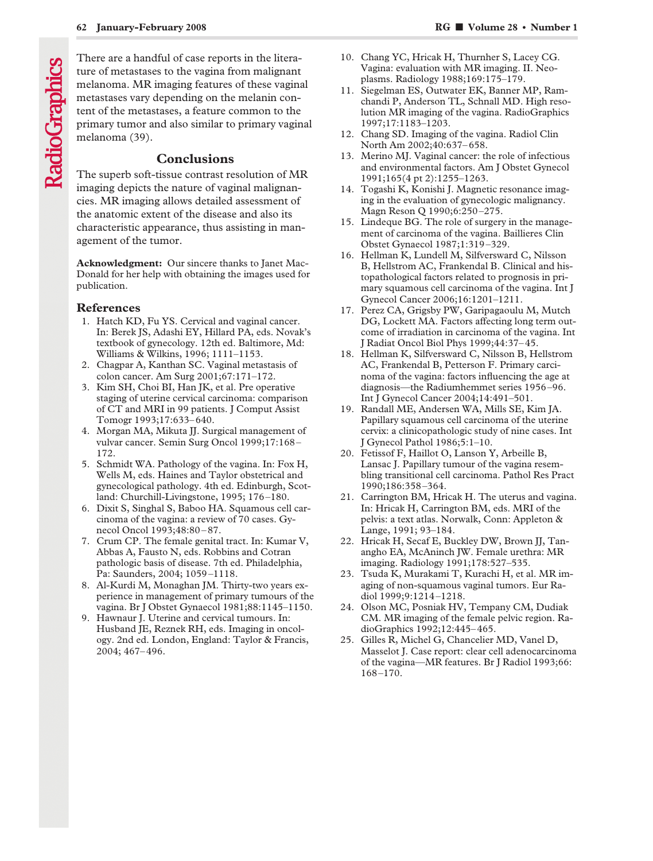# **Conclusions**

The superb soft-tissue contrast resolution of MR imaging depicts the nature of vaginal malignancies. MR imaging allows detailed assessment of the anatomic extent of the disease and also its characteristic appearance, thus assisting in management of the tumor.

**Acknowledgment:** Our sincere thanks to Janet Mac-Donald for her help with obtaining the images used for publication.

#### **References**

- 1. Hatch KD, Fu YS. Cervical and vaginal cancer. In: Berek JS, Adashi EY, Hillard PA, eds. Novak's textbook of gynecology. 12th ed. Baltimore, Md: Williams & Wilkins, 1996; 1111–1153.
- 2. Chagpar A, Kanthan SC. Vaginal metastasis of colon cancer. Am Surg 2001;67:171–172.
- 3. Kim SH, Choi BI, Han JK, et al. Pre operative staging of uterine cervical carcinoma: comparison of CT and MRI in 99 patients. J Comput Assist Tomogr 1993;17:633–640.
- 4. Morgan MA, Mikuta JJ. Surgical management of vulvar cancer. Semin Surg Oncol 1999;17:168– 172.
- 5. Schmidt WA. Pathology of the vagina. In: Fox H, Wells M, eds. Haines and Taylor obstetrical and gynecological pathology. 4th ed. Edinburgh, Scotland: Churchill-Livingstone, 1995; 176–180.
- 6. Dixit S, Singhal S, Baboo HA. Squamous cell carcinoma of the vagina: a review of 70 cases. Gynecol Oncol 1993;48:80–87.
- 7. Crum CP. The female genital tract. In: Kumar V, Abbas A, Fausto N, eds. Robbins and Cotran pathologic basis of disease. 7th ed. Philadelphia, Pa: Saunders, 2004; 1059–1118.
- 8. Al-Kurdi M, Monaghan JM. Thirty-two years experience in management of primary tumours of the vagina. Br J Obstet Gynaecol 1981;88:1145–1150.
- 9. Hawnaur J. Uterine and cervical tumours. In: Husband JE, Reznek RH, eds. Imaging in oncology. 2nd ed. London, England: Taylor & Francis, 2004; 467–496.
- 10. Chang YC, Hricak H, Thurnher S, Lacey CG. Vagina: evaluation with MR imaging. II. Neoplasms. Radiology 1988;169:175–179.
- 11. Siegelman ES, Outwater EK, Banner MP, Ramchandi P, Anderson TL, Schnall MD. High resolution MR imaging of the vagina. RadioGraphics 1997;17:1183–1203.
- 12. Chang SD. Imaging of the vagina. Radiol Clin North Am 2002;40:637–658.
- 13. Merino MJ. Vaginal cancer: the role of infectious and environmental factors. Am J Obstet Gynecol 1991;165(4 pt 2):1255–1263.
- 14. Togashi K, Konishi J. Magnetic resonance imaging in the evaluation of gynecologic malignancy. Magn Reson Q 1990;6:250–275.
- 15. Lindeque BG. The role of surgery in the management of carcinoma of the vagina. Baillieres Clin Obstet Gynaecol 1987;1:319–329.
- 16. Hellman K, Lundell M, Silfversward C, Nilsson B, Hellstrom AC, Frankendal B. Clinical and histopathological factors related to prognosis in primary squamous cell carcinoma of the vagina. Int J Gynecol Cancer 2006;16:1201–1211.
- 17. Perez CA, Grigsby PW, Garipagaoulu M, Mutch DG, Lockett MA. Factors affecting long term outcome of irradiation in carcinoma of the vagina. Int J Radiat Oncol Biol Phys 1999;44:37–45.
- 18. Hellman K, Silfversward C, Nilsson B, Hellstrom AC, Frankendal B, Petterson F. Primary carcinoma of the vagina: factors influencing the age at diagnosis—the Radiumhemmet series 1956–96. Int J Gynecol Cancer 2004;14:491–501.
- 19. Randall ME, Andersen WA, Mills SE, Kim JA. Papillary squamous cell carcinoma of the uterine cervix: a clinicopathologic study of nine cases. Int J Gynecol Pathol 1986;5:1–10.
- 20. Fetissof F, Haillot O, Lanson Y, Arbeille B, Lansac J. Papillary tumour of the vagina resembling transitional cell carcinoma. Pathol Res Pract 1990;186:358–364.
- 21. Carrington BM, Hricak H. The uterus and vagina. In: Hricak H, Carrington BM, eds. MRI of the pelvis: a text atlas. Norwalk, Conn: Appleton & Lange, 1991; 93–184.
- 22. Hricak H, Secaf E, Buckley DW, Brown JJ, Tanangho EA, McAninch JW. Female urethra: MR imaging. Radiology 1991;178:527–535.
- 23. Tsuda K, Murakami T, Kurachi H, et al. MR imaging of non-squamous vaginal tumors. Eur Radiol 1999;9:1214–1218.
- 24. Olson MC, Posniak HV, Tempany CM, Dudiak CM. MR imaging of the female pelvic region. RadioGraphics 1992;12:445–465.
- 25. Gilles R, Michel G, Chancelier MD, Vanel D, Masselot J. Case report: clear cell adenocarcinoma of the vagina—MR features. Br J Radiol 1993;66: 168–170.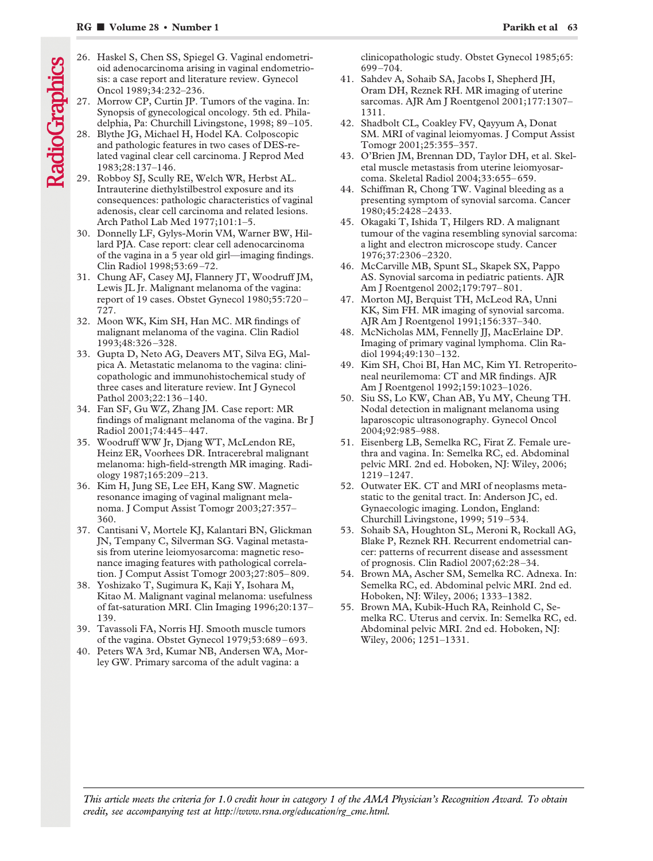- 26. Haskel S, Chen SS, Spiegel G. Vaginal endometrioid adenocarcinoma arising in vaginal endometriosis: a case report and literature review. Gynecol Oncol 1989;34:232–236.
- 27. Morrow CP, Curtin JP. Tumors of the vagina. In: Synopsis of gynecological oncology. 5th ed. Philadelphia, Pa: Churchill Livingstone, 1998; 89–105.
- 28. Blythe JG, Michael H, Hodel KA. Colposcopic and pathologic features in two cases of DES-related vaginal clear cell carcinoma. J Reprod Med 1983;28:137–146.
- 29. Robboy SJ, Scully RE, Welch WR, Herbst AL. Intrauterine diethylstilbestrol exposure and its consequences: pathologic characteristics of vaginal adenosis, clear cell carcinoma and related lesions. Arch Pathol Lab Med 1977;101:1–5.
- 30. Donnelly LF, Gylys-Morin VM, Warner BW, Hillard PJA. Case report: clear cell adenocarcinoma of the vagina in a 5 year old girl—imaging findings. Clin Radiol 1998;53:69–72.
- 31. Chung AF, Casey MJ, Flannery JT, Woodruff JM, Lewis JL Jr. Malignant melanoma of the vagina: report of 19 cases. Obstet Gynecol 1980;55:720– 727.
- 32. Moon WK, Kim SH, Han MC. MR findings of malignant melanoma of the vagina. Clin Radiol 1993;48:326–328.
- 33. Gupta D, Neto AG, Deavers MT, Silva EG, Malpica A. Metastatic melanoma to the vagina: clinicopathologic and immunohistochemical study of three cases and literature review. Int J Gynecol Pathol 2003;22:136–140.
- 34. Fan SF, Gu WZ, Zhang JM. Case report: MR findings of malignant melanoma of the vagina. Br J Radiol 2001;74:445–447.
- 35. Woodruff WW Jr, Djang WT, McLendon RE, Heinz ER, Voorhees DR. Intracerebral malignant melanoma: high-field-strength MR imaging. Radiology 1987;165:209–213.
- 36. Kim H, Jung SE, Lee EH, Kang SW. Magnetic resonance imaging of vaginal malignant melanoma. J Comput Assist Tomogr 2003;27:357– 360.
- 37. Cantisani V, Mortele KJ, Kalantari BN, Glickman JN, Tempany C, Silverman SG. Vaginal metastasis from uterine leiomyosarcoma: magnetic resonance imaging features with pathological correlation. J Comput Assist Tomogr 2003;27:805–809.
- 38. Yoshizako T, Sugimura K, Kaji Y, Isohara M, Kitao M. Malignant vaginal melanoma: usefulness of fat-saturation MRI. Clin Imaging 1996;20:137– 139.
- 39. Tavassoli FA, Norris HJ. Smooth muscle tumors of the vagina. Obstet Gynecol 1979;53:689–693.
- 40. Peters WA 3rd, Kumar NB, Andersen WA, Morley GW. Primary sarcoma of the adult vagina: a

clinicopathologic study. Obstet Gynecol 1985;65: 699–704.

- 41. Sahdev A, Sohaib SA, Jacobs I, Shepherd JH, Oram DH, Reznek RH. MR imaging of uterine sarcomas. AJR Am J Roentgenol 2001;177:1307– 1311.
- 42. Shadbolt CL, Coakley FV, Qayyum A, Donat SM. MRI of vaginal leiomyomas. J Comput Assist Tomogr 2001;25:355–357.
- 43. O'Brien JM, Brennan DD, Taylor DH, et al. Skeletal muscle metastasis from uterine leiomyosarcoma. Skeletal Radiol 2004;33:655–659.
- 44. Schiffman R, Chong TW. Vaginal bleeding as a presenting symptom of synovial sarcoma. Cancer 1980;45:2428–2433.
- 45. Okagaki T, Ishida T, Hilgers RD. A malignant tumour of the vagina resembling synovial sarcoma: a light and electron microscope study. Cancer 1976;37:2306–2320.
- 46. McCarville MB, Spunt SL, Skapek SX, Pappo AS. Synovial sarcoma in pediatric patients. AJR Am J Roentgenol 2002;179:797–801.
- 47. Morton MJ, Berquist TH, McLeod RA, Unni KK, Sim FH. MR imaging of synovial sarcoma. AJR Am J Roentgenol 1991;156:337–340.
- 48. McNicholas MM, Fennelly JJ, MacErlaine DP. Imaging of primary vaginal lymphoma. Clin Radiol 1994;49:130–132.
- 49. Kim SH, Choi BI, Han MC, Kim YI. Retroperitoneal neurilemoma: CT and MR findings. AJR Am J Roentgenol 1992;159:1023–1026.
- 50. Siu SS, Lo KW, Chan AB, Yu MY, Cheung TH. Nodal detection in malignant melanoma using laparoscopic ultrasonography. Gynecol Oncol 2004;92:985–988.
- 51. Eisenberg LB, Semelka RC, Firat Z. Female urethra and vagina. In: Semelka RC, ed. Abdominal pelvic MRI. 2nd ed. Hoboken, NJ: Wiley, 2006; 1219–1247.
- 52. Outwater EK. CT and MRI of neoplasms metastatic to the genital tract. In: Anderson JC, ed. Gynaecologic imaging. London, England: Churchill Livingstone, 1999; 519–534.
- 53. Sohaib SA, Houghton SL, Meroni R, Rockall AG, Blake P, Reznek RH. Recurrent endometrial cancer: patterns of recurrent disease and assessment of prognosis. Clin Radiol 2007;62:28–34.
- 54. Brown MA, Ascher SM, Semelka RC. Adnexa. In: Semelka RC, ed. Abdominal pelvic MRI. 2nd ed. Hoboken, NJ: Wiley, 2006; 1333–1382.
- 55. Brown MA, Kubik-Huch RA, Reinhold C, Semelka RC. Uterus and cervix. In: Semelka RC, ed. Abdominal pelvic MRI. 2nd ed. Hoboken, NJ: Wiley, 2006; 1251–1331.

*This article meets the criteria for 1.0 credit hour in category 1 of the AMA Physician's Recognition Award. To obtain credit, see accompanying test at http://www.rsna.org/education/rg\_cme.html.*